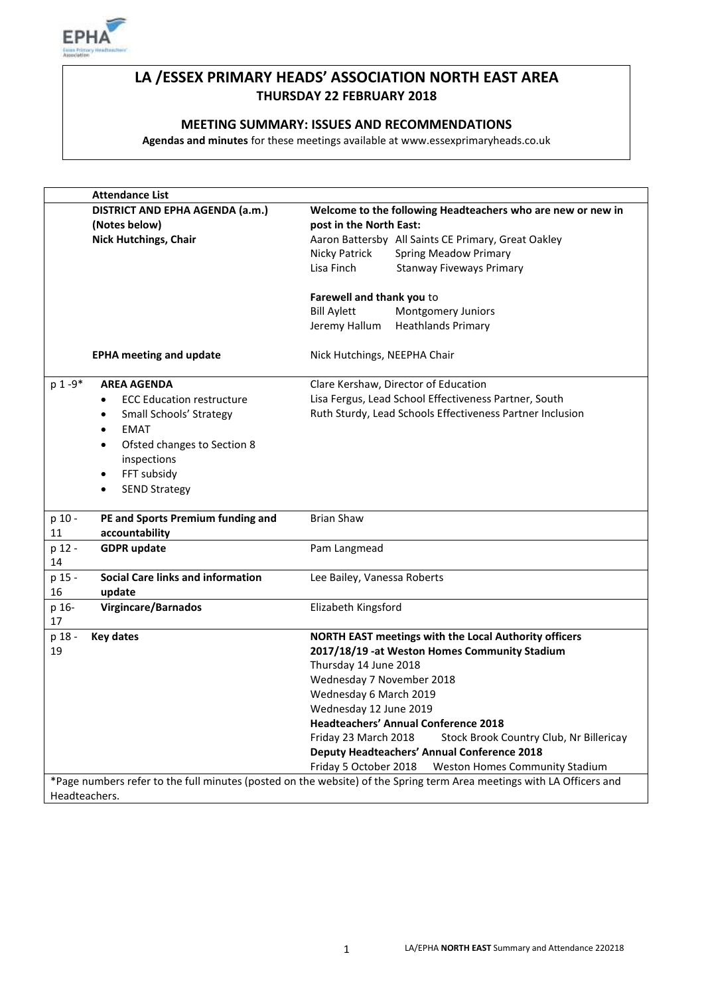

## **LA /ESSEX PRIMARY HEADS' ASSOCIATION NORTH EAST AREA THURSDAY 22 FEBRUARY 2018**

### **MEETING SUMMARY: ISSUES AND RECOMMENDATIONS**

**Agendas and minutes** for these meetings available at www.essexprimaryheads.co.uk

|                                                                                                                       | <b>Attendance List</b>                           |                                                                                        |
|-----------------------------------------------------------------------------------------------------------------------|--------------------------------------------------|----------------------------------------------------------------------------------------|
|                                                                                                                       | DISTRICT AND EPHA AGENDA (a.m.)<br>(Notes below) | Welcome to the following Headteachers who are new or new in<br>post in the North East: |
|                                                                                                                       | <b>Nick Hutchings, Chair</b>                     | Aaron Battersby All Saints CE Primary, Great Oakley                                    |
|                                                                                                                       |                                                  | <b>Spring Meadow Primary</b><br>Nicky Patrick                                          |
|                                                                                                                       |                                                  | Lisa Finch<br><b>Stanway Fiveways Primary</b>                                          |
|                                                                                                                       |                                                  | Farewell and thank you to                                                              |
|                                                                                                                       |                                                  | <b>Bill Aylett</b><br>Montgomery Juniors                                               |
|                                                                                                                       |                                                  | Jeremy Hallum<br><b>Heathlands Primary</b>                                             |
|                                                                                                                       | <b>EPHA meeting and update</b>                   | Nick Hutchings, NEEPHA Chair                                                           |
| p 1-9*                                                                                                                | <b>AREA AGENDA</b>                               | Clare Kershaw, Director of Education                                                   |
|                                                                                                                       | <b>ECC Education restructure</b><br>٠            | Lisa Fergus, Lead School Effectiveness Partner, South                                  |
|                                                                                                                       | Small Schools' Strategy<br>$\bullet$             | Ruth Sturdy, Lead Schools Effectiveness Partner Inclusion                              |
|                                                                                                                       | <b>EMAT</b><br>$\bullet$                         |                                                                                        |
|                                                                                                                       | Ofsted changes to Section 8<br>$\bullet$         |                                                                                        |
|                                                                                                                       | inspections                                      |                                                                                        |
|                                                                                                                       | FFT subsidy<br>$\bullet$                         |                                                                                        |
|                                                                                                                       | <b>SEND Strategy</b><br>$\bullet$                |                                                                                        |
|                                                                                                                       |                                                  |                                                                                        |
| p 10 -                                                                                                                | PE and Sports Premium funding and                | <b>Brian Shaw</b>                                                                      |
| 11                                                                                                                    | accountability                                   |                                                                                        |
| p 12 -                                                                                                                | <b>GDPR</b> update                               | Pam Langmead                                                                           |
| 14                                                                                                                    |                                                  |                                                                                        |
| p 15 -                                                                                                                | <b>Social Care links and information</b>         | Lee Bailey, Vanessa Roberts                                                            |
| 16                                                                                                                    | update                                           |                                                                                        |
| p 16-                                                                                                                 | <b>Virgincare/Barnados</b>                       | Elizabeth Kingsford                                                                    |
| 17                                                                                                                    |                                                  |                                                                                        |
| p 18 -                                                                                                                | <b>Key dates</b>                                 | NORTH EAST meetings with the Local Authority officers                                  |
| 19                                                                                                                    |                                                  | 2017/18/19 -at Weston Homes Community Stadium                                          |
|                                                                                                                       |                                                  | Thursday 14 June 2018                                                                  |
|                                                                                                                       |                                                  | Wednesday 7 November 2018                                                              |
|                                                                                                                       |                                                  | Wednesday 6 March 2019                                                                 |
|                                                                                                                       |                                                  | Wednesday 12 June 2019                                                                 |
|                                                                                                                       |                                                  | <b>Headteachers' Annual Conference 2018</b>                                            |
|                                                                                                                       |                                                  | Friday 23 March 2018<br>Stock Brook Country Club, Nr Billericay                        |
|                                                                                                                       |                                                  | <b>Deputy Headteachers' Annual Conference 2018</b>                                     |
|                                                                                                                       |                                                  | Friday 5 October 2018<br>Weston Homes Community Stadium                                |
| *Page numbers refer to the full minutes (posted on the website) of the Spring term Area meetings with LA Officers and |                                                  |                                                                                        |
| Headteachers.                                                                                                         |                                                  |                                                                                        |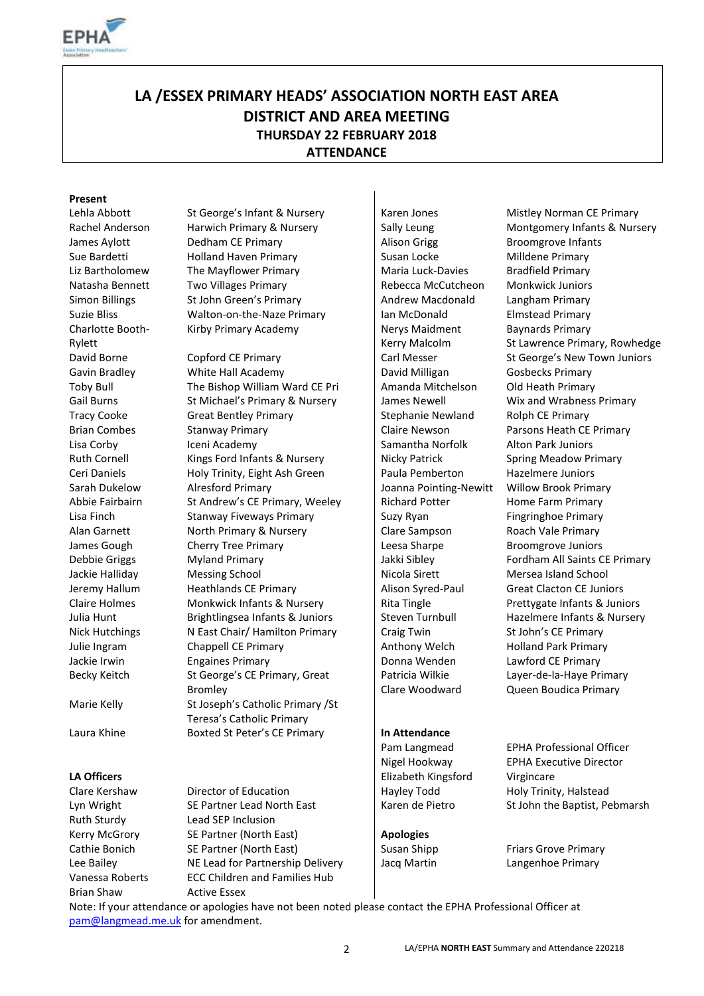

# **LA /ESSEX PRIMARY HEADS' ASSOCIATION NORTH EAST AREA DISTRICT AND AREA MEETING THURSDAY 22 FEBRUARY 2018 ATTENDANCE**

### **Present**

Charlotte Booth-Rylett

Ruth Sturdy Lead SEP Inclusion Kerry McGrory SE Partner (North East) **Apologies** Vanessa Roberts ECC Children and Families Hub Brian Shaw Active Essex

Lehla Abbott St George's Infant & Nursery Staten Jones Mistley Norman CE Primary James Aylott Dedham CE Primary Alison Grigg Broomgrove Infants Sue Bardetti **Holland Haven Primary** Susan Locke Milldene Primary Liz Bartholomew The Mayflower Primary Maria Luck-Davies Bradfield Primary Natasha Bennett Two Villages Primary Rebecca McCutcheon Monkwick Juniors Simon Billings St John Green's Primary Andrew Macdonald Langham Primary Suzie Bliss **Walton-on-the-Naze Primary** | Ian McDonald **Elmstead Primary** Kirby Primary Academy Nerys Maidment

David Borne Copford CE Primary Carl Messer St George's New Town Juniors Gavin Bradley **Millie Hall Academy** David Milligan Gosbecks Primary Toby Bull The Bishop William Ward CE Pri | Amanda Mitchelson Old Heath Primary Gail Burns St Michael's Primary & Nursery | James Newell Wix and Wrabness Primary Tracy Cooke Great Bentley Primary Stephanie Newland Rolph CE Primary Brian Combes Stanway Primary Claire Newson Parsons Heath CE Primary Lisa Corby **Iceni Academy Iceni Academy** Samantha Norfolk Alton Park Juniors Ruth Cornell Kings Ford Infants & Nursery | Nicky Patrick Spring Meadow Primary Ceri Daniels **Holy Trinity, Eight Ash Green** Paula Pemberton Hazelmere Juniors Sarah Dukelow Alresford Primary **Joanna Pointing-Newitt** Willow Brook Primary Abbie Fairbairn St Andrew's CE Primary, Weeley Richard Potter Home Farm Primary Lisa Finch Stanway Fiveways Primary Suzy Ryan Fingringhoe Primary Stanway Fiveways Primary Alan Garnett **North Primary & Nursery Clare Sampson** Roach Vale Primary Roach Vale Primary James Gough Cherry Tree Primary Leesa Sharpe Broomgrove Juniors Debbie Griggs Myland Primary **Jakki Sibley** Fordham All Saints CE Primary **Jakki** Sibley Fordham All Saints CE Primary Jackie Halliday Messing School Nicola Sirett Mersea Island School Nicola Sirett Mersea Island School Jeremy Hallum Heathlands CE Primary | Alison Syred-Paul Great Clacton CE Juniors Claire Holmes Monkwick Infants & Nursery Rita Tingle Prettygate Infants & Juniors Julia Hunt Brightlingsea Infants & Juniors Function Turnbull Hazelmere Infants & Nursery Nick Hutchings Nicast Chair/ Hamilton Primary Craig Twin St John's CE Primary Julie Ingram Chappell CE Primary **Anthony Welch** Holland Park Primary Jackie Irwin **Engaines Primary Engative Primary Donna Wenden** Lawford CE Primary Becky Keitch St George's CE Primary, Great Bromley Marie Kelly St Joseph's Catholic Primary /St Teresa's Catholic Primary Laura Khine Boxted St Peter's CE Primary **In Attendance** 

Kerry Malcolm Patricia Wilkie

Clare Woodward

**LA Officers** Elizabeth Kingsford Virgincare

Rachel Anderson Harwich Primary & Nursery Sally Leung Montgomery Infants & Nursery Baynards Primary St Lawrence Primary, Rowhedge Layer-de-la-Haye Primary Queen Boudica Primary

Pam Langmead EPHA Professional Officer Nigel Hookway EPHA Executive Director Clare Kershaw Director of Education | Hayley Todd Holy Trinity, Halstead Lyn Wright SE Partner Lead North East | Karen de Pietro St John the Baptist, Pebmarsh

Cathie Bonich SE Partner (North East) Susan Shipp Friars Grove Primary Lee Bailey **NE Lead for Partnership Delivery** Jacq Martin Langenhoe Primary

Note: If your attendance or apologies have not been noted please contact the EPHA Professional Officer at [pam@langmead.me.uk](mailto:pam@langmead.me.uk) for amendment.